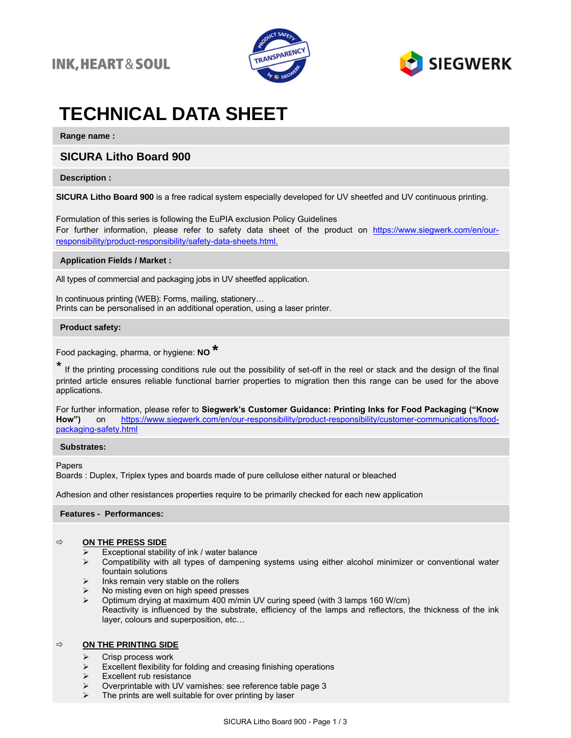### **INK, HEART & SOUL**





# **TECHNICAL DATA SHEET**

**Range name :**

### **SICURA Litho Board 900**

### **Description :**

**SICURA Litho Board 900** is a free radical system especially developed for UV sheetfed and UV continuous printing.

Formulation of this series is following the EuPIA exclusion Policy Guidelines For further information, please refer to safety data sheet of the product on https://www.siegwerk.com/en/ourresponsibility/product-responsibility/safety-data-sheets.html.

### **Application Fields / Market :**

All types of commercial and packaging jobs in UV sheetfed application.

In continuous printing (WEB): Forms, mailing, stationery… Prints can be personalised in an additional operation, using a laser printer.

### **Product safety:**

Food packaging, pharma, or hygiene: **NO \***

\* If the printing processing conditions rule out the possibility of set-off in the reel or stack and the design of the final printed article ensures reliable functional barrier properties to migration then this range can be used for the above applications.

For further information, please refer to **Siegwerk's Customer Guidance: Printing Inks for Food Packaging ("Know**  on [https://www.siegwerk.com/en/our-responsibility/product-responsibility/customer-communications/food](https://www.siegwerk.com/en/our-responsibility/product-responsibility/customer-communications/food-packaging-safety.html)[packaging-safety.html](https://www.siegwerk.com/en/our-responsibility/product-responsibility/customer-communications/food-packaging-safety.html)

### **Substrates:**

Papers

Boards : Duplex, Triplex types and boards made of pure cellulose either natural or bleached

Adhesion and other resistances properties require to be primarily checked for each new application

### **Features - Performances:**

### **ON THE PRESS SIDE**

- Exceptional stability of ink / water balance
- ➢ Compatibility with all types of dampening systems using either alcohol minimizer or conventional water fountain solutions
- ➢ Inks remain very stable on the rollers
- $\triangleright$  No misting even on high speed presses<br> $\triangleright$  Ontimum drying at maximum 400 m/min
- ➢ Optimum drying at maximum 400 m/min UV curing speed (with 3 lamps 160 W/cm) Reactivity is influenced by the substrate, efficiency of the lamps and reflectors, the thickness of the ink layer, colours and superposition, etc…

### **ON THE PRINTING SIDE**

- ➢ Crisp process work
- $\triangleright$  Excellent flexibility for folding and creasing finishing operations  $\triangleright$  Excellent rub resistance
- Excellent rub resistance
- ➢ Overprintable with UV varnishes: see reference table page 3
- $\triangleright$  The prints are well suitable for over printing by laser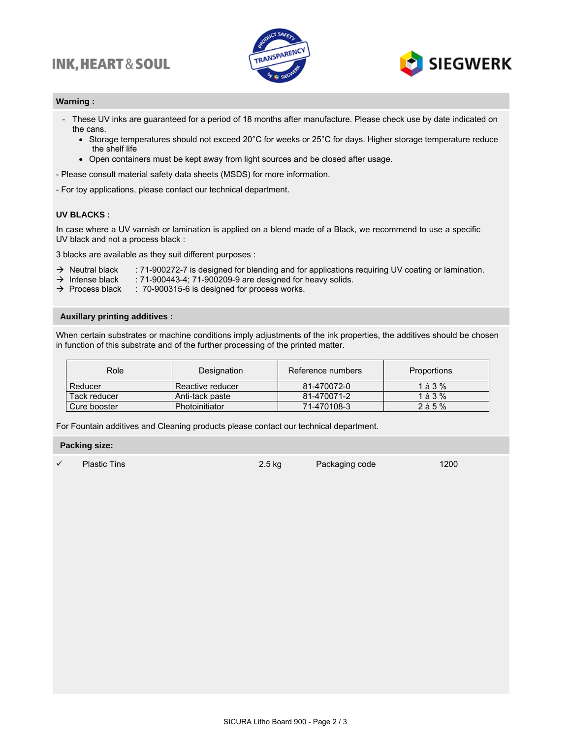## **INK, HEART & SOUL**





### **Warning :**

- These UV inks are guaranteed for a period of 18 months after manufacture. Please check use by date indicated on the cans.
	- Storage temperatures should not exceed 20°C for weeks or 25°C for days. Higher storage temperature reduce the shelf life
	- Open containers must be kept away from light sources and be closed after usage.

- Please consult material safety data sheets (MSDS) for more information.

- For toy applications, please contact our technical department.

### **UV BLACKS :**

In case where a UV varnish or lamination is applied on a blend made of a Black, we recommend to use a specific UV black and not a process black :

3 blacks are available as they suit different purposes :

- → Neutral black : 71-900272-7 is designed for blending and for applications requiring UV coating or lamination.
- $\rightarrow$  Intense black : 71-900443-4; 71-900209-9 are designed for heavy solids.
- $\rightarrow$  Process black : 70-900315-6 is designed for process works.

### **Auxillary printing additives :**

When certain substrates or machine conditions imply adjustments of the ink properties, the additives should be chosen in function of this substrate and of the further processing of the printed matter.

| Role         | Designation      | Reference numbers | <b>Proportions</b> |
|--------------|------------------|-------------------|--------------------|
| Reducer      | Reactive reducer | 81-470072-0       | 1 à 3 $%$          |
| Tack reducer | Anti-tack paste  | 81-470071-2       | $1$ à $3%$         |
| Cure booster | Photoinitiator   | 71-470108-3       | $2$ à 5 $%$        |

For Fountain additives and Cleaning products please contact our technical department.

#### **Packing size:**

Plastic Tins 2.5 kg Packaging code 1200